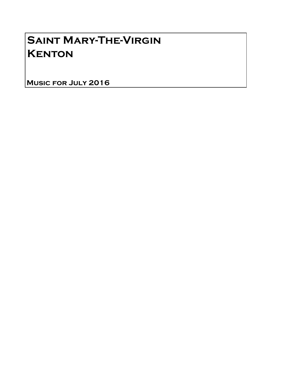# Saint Mary-The-Virgin **KENTON**

Music for July 2016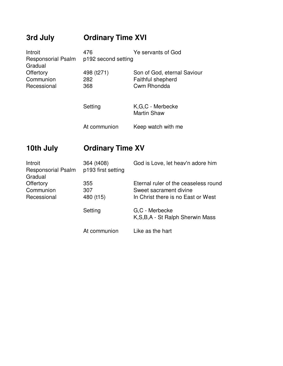### **3rd July Ordinary Time XVI**

| Introit                                | 476        | Ye servants of God          |  |
|----------------------------------------|------------|-----------------------------|--|
| Responsorial Psalm p192 second setting |            |                             |  |
| Gradual                                |            |                             |  |
| Offertory                              | 498 (t271) | Son of God, eternal Saviour |  |
| Communion                              | 282        | Faithful shepherd           |  |
| Recessional                            | 368        | Cwm Rhondda                 |  |
|                                        |            |                             |  |

| Setting      | K.G.C - Merbecke<br><b>Martin Shaw</b> |
|--------------|----------------------------------------|
| At communion | Keep watch with me                     |

#### **10th July Ordinary Time XV**

| Introit<br><b>Responsorial Psalm</b><br>Gradual | 364 (t408)<br>p193 first setting | God is Love, let heav'n adore him                    |
|-------------------------------------------------|----------------------------------|------------------------------------------------------|
| Offertory                                       | 355                              | Eternal ruler of the ceaseless round                 |
| Communion                                       | 307                              | Sweet sacrament divine                               |
| Recessional                                     | 480 (t15)                        | In Christ there is no East or West                   |
|                                                 | Setting                          | G,C - Merbecke<br>K, S, B, A - St Ralph Sherwin Mass |
|                                                 | At communion                     | Like as the hart                                     |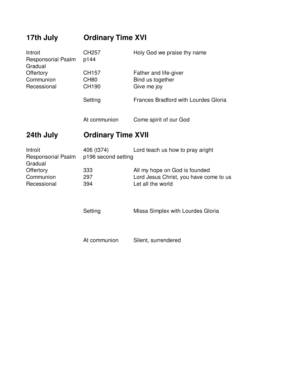## **17th July Ordinary Time XVI** Introit CH257 Holy God we praise thy name Responsorial Psalm p144 Gradual Offertory CH157 Father and life-giver Communion CH80 Bind us together Recessional CH190 Give me joy Setting **Frances Bradford with Lourdes Gloria** At communion Come spirit of our God **24th July Ordinary Time XVII** Introit 406 (t374) Lord teach us how to pray aright Responsorial Psalm p196 second setting **Gradual** Offertory 333 All my hope on God is founded Communion 297 Lord Jesus Christ, you have come to us Recessional 394 Let all the world Setting Missa Simplex with Lourdes Gloria

At communion Silent, surrendered